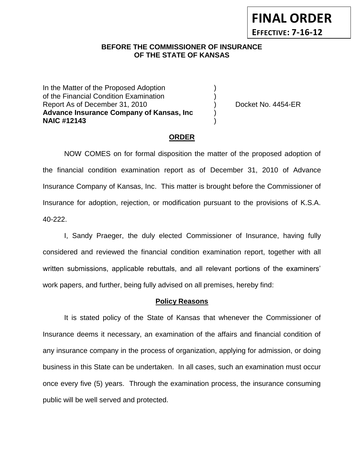## **BEFORE THE COMMISSIONER OF INSURANCE OF THE STATE OF KANSAS**

In the Matter of the Proposed Adoption of the Financial Condition Examination ) Report As of December 31, 2010 (and Contact Contact Contact No. 4454-ER **Advance Insurance Company of Kansas, Inc** ) **NAIC #12143** )

**FINAL ORDER**

**EFFECTIVE: 7-16-12**

#### **ORDER**

NOW COMES on for formal disposition the matter of the proposed adoption of the financial condition examination report as of December 31, 2010 of Advance Insurance Company of Kansas, Inc. This matter is brought before the Commissioner of Insurance for adoption, rejection, or modification pursuant to the provisions of K.S.A. 40-222.

I, Sandy Praeger, the duly elected Commissioner of Insurance, having fully considered and reviewed the financial condition examination report, together with all written submissions, applicable rebuttals, and all relevant portions of the examiners' work papers, and further, being fully advised on all premises, hereby find:

#### **Policy Reasons**

It is stated policy of the State of Kansas that whenever the Commissioner of Insurance deems it necessary, an examination of the affairs and financial condition of any insurance company in the process of organization, applying for admission, or doing business in this State can be undertaken. In all cases, such an examination must occur once every five (5) years. Through the examination process, the insurance consuming public will be well served and protected.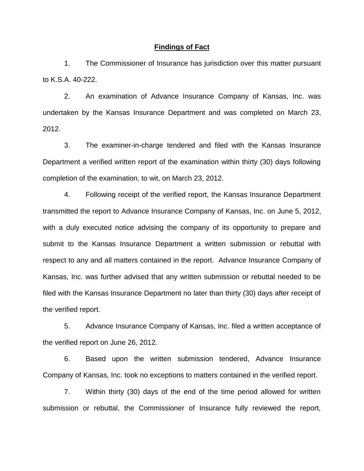#### **Findings of Fact**

1. The Commissioner of Insurance has jurisdiction over this matter pursuant to K.S.A. 40-222.

2. An examination of Advance Insurance Company of Kansas, Inc. was undertaken by the Kansas Insurance Department and was completed on March 23, 2012.

3. The examiner-in-charge tendered and filed with the Kansas Insurance Department a verified written report of the examination within thirty (30) days following completion of the examination, to wit, on March 23, 2012.

4. Following receipt of the verified report, the Kansas Insurance Department transmitted the report to Advance Insurance Company of Kansas, Inc. on June 5, 2012, with a duly executed notice advising the company of its opportunity to prepare and submit to the Kansas Insurance Department a written submission or rebuttal with respect to any and all matters contained in the report. Advance Insurance Company of Kansas, Inc. was further advised that any written submission or rebuttal needed to be filed with the Kansas Insurance Department no later than thirty (30) days after receipt of the verified report.

5. Advance Insurance Company of Kansas, Inc. filed a written acceptance of the verified report on June 26, 2012.

6. Based upon the written submission tendered, Advance Insurance Company of Kansas, Inc. took no exceptions to matters contained in the verified report.

7. Within thirty (30) days of the end of the time period allowed for written submission or rebuttal, the Commissioner of Insurance fully reviewed the report,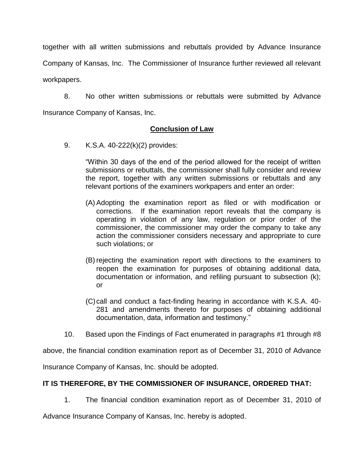together with all written submissions and rebuttals provided by Advance Insurance Company of Kansas, Inc. The Commissioner of Insurance further reviewed all relevant workpapers.

8. No other written submissions or rebuttals were submitted by Advance Insurance Company of Kansas, Inc.

## **Conclusion of Law**

9. K.S.A. 40-222(k)(2) provides:

"Within 30 days of the end of the period allowed for the receipt of written submissions or rebuttals, the commissioner shall fully consider and review the report, together with any written submissions or rebuttals and any relevant portions of the examiners workpapers and enter an order:

- (A) Adopting the examination report as filed or with modification or corrections. If the examination report reveals that the company is operating in violation of any law, regulation or prior order of the commissioner, the commissioner may order the company to take any action the commissioner considers necessary and appropriate to cure such violations; or
- (B) rejecting the examination report with directions to the examiners to reopen the examination for purposes of obtaining additional data, documentation or information, and refiling pursuant to subsection (k); or
- (C)call and conduct a fact-finding hearing in accordance with K.S.A. 40- 281 and amendments thereto for purposes of obtaining additional documentation, data, information and testimony."
- 10. Based upon the Findings of Fact enumerated in paragraphs #1 through #8

above, the financial condition examination report as of December 31, 2010 of Advance

Insurance Company of Kansas, Inc. should be adopted.

# **IT IS THEREFORE, BY THE COMMISSIONER OF INSURANCE, ORDERED THAT:**

1. The financial condition examination report as of December 31, 2010 of

Advance Insurance Company of Kansas, Inc. hereby is adopted.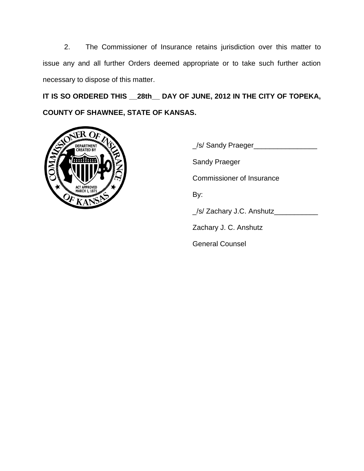2. The Commissioner of Insurance retains jurisdiction over this matter to issue any and all further Orders deemed appropriate or to take such further action necessary to dispose of this matter.

**IT IS SO ORDERED THIS \_\_28th\_\_ DAY OF JUNE, 2012 IN THE CITY OF TOPEKA, COUNTY OF SHAWNEE, STATE OF KANSAS.**



\_/s/ Sandy Praeger\_\_\_\_\_\_\_\_\_\_\_\_\_\_\_\_ Sandy Praeger Commissioner of Insurance By: \_/s/ Zachary J.C. Anshutz\_\_\_\_\_\_\_\_\_\_\_ Zachary J. C. Anshutz General Counsel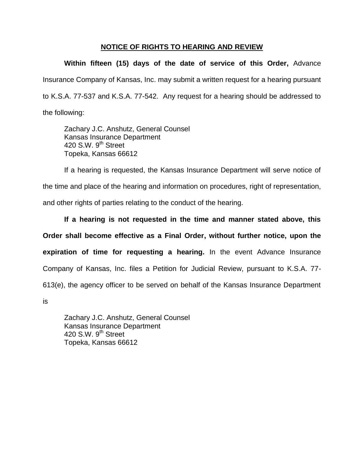## **NOTICE OF RIGHTS TO HEARING AND REVIEW**

**Within fifteen (15) days of the date of service of this Order,** Advance Insurance Company of Kansas, Inc. may submit a written request for a hearing pursuant to K.S.A. 77-537 and K.S.A. 77-542. Any request for a hearing should be addressed to the following:

Zachary J.C. Anshutz, General Counsel Kansas Insurance Department 420 S.W. 9<sup>th</sup> Street Topeka, Kansas 66612

If a hearing is requested, the Kansas Insurance Department will serve notice of the time and place of the hearing and information on procedures, right of representation, and other rights of parties relating to the conduct of the hearing.

**If a hearing is not requested in the time and manner stated above, this Order shall become effective as a Final Order, without further notice, upon the expiration of time for requesting a hearing.** In the event Advance Insurance Company of Kansas, Inc. files a Petition for Judicial Review, pursuant to K.S.A. 77- 613(e), the agency officer to be served on behalf of the Kansas Insurance Department

is

Zachary J.C. Anshutz, General Counsel Kansas Insurance Department 420 S.W.  $9^{th}$  Street Topeka, Kansas 66612